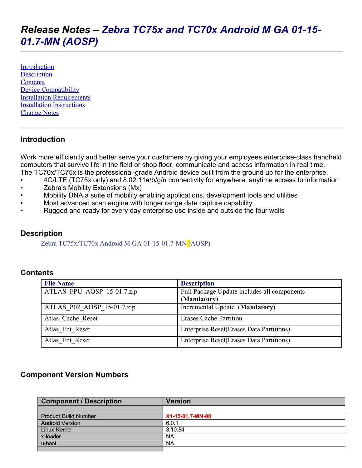# *Release Notes – Zebra TC75x and TC70x Android M GA 0115 01.7MN (AOSP)*

**[Introduction](#page-0-0) Description [Contents](#page-0-1)** Device Compatibility **Installation Requirements** Installation Instructions Change Notes

#### <span id="page-0-0"></span>Introduction

Work more efficiently and better serve your customers by giving your employees enterprise-class handheld computers that survive life in the field or shop floor, communicate and access information in real time. The TC70x/TC75x is the professional-grade Android device built from the ground up for the enterprise.

- 4G/LTE (TC75x only) and 8.02.11a/b/g/n connectivity for anywhere, anytime access to information
- Zebra's Mobility Extensions (Mx)
- Mobility DNA,a suite of mobility enabling applications, development tools and utilities
- Most advanced scan engine with longer range date capture capability
- Rugged and ready for every day enterprise use inside and outside the four walls

#### **Description**

Zebra  $TC75x/TC70x$  Android M GA 01-15-01.7-MN  $(AOSP)$ 

#### <span id="page-0-1"></span>**Contents**

| <b>File Name</b>           | <b>Description</b>                               |
|----------------------------|--------------------------------------------------|
| ATLAS FPU AOSP 15-01.7.zip | Full Package Update includes all components      |
|                            | (Mandatory)                                      |
| ATLAS P02 AOSP 15-01.7.zip | Incremental Update (Mandatory)                   |
| Atlas Cache Reset          | <b>Erases Cache Partition</b>                    |
| Atlas Ent Reset            | <b>Enterprise Reset (Erases Data Partitions)</b> |
| Atlas Ent Reset            | <b>Enterprise Reset (Erases Data Partitions)</b> |

#### Component Version Numbers

| <b>Component / Description</b> | <b>Version</b>   |
|--------------------------------|------------------|
|                                |                  |
| <b>Product Build Number</b>    | X1-15-01.7-MN-00 |
| <b>Android Version</b>         | 6.0.1            |
| Linux Kernel                   | 3.10.84          |
| x-loader                       | <b>NA</b>        |
| u-boot                         | <b>NA</b>        |
|                                |                  |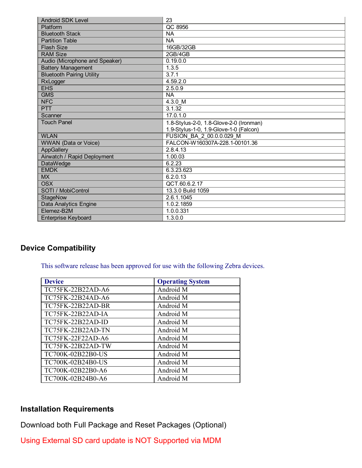| <b>Android SDK Level</b>         | 23                                      |
|----------------------------------|-----------------------------------------|
| Platform                         | QC 8956                                 |
| <b>Bluetooth Stack</b>           | <b>NA</b>                               |
| <b>Partition Table</b>           | <b>NA</b>                               |
| <b>Flash Size</b>                | 16GB/32GB                               |
| <b>RAM Size</b>                  | 2GB/4GB                                 |
| Audio (Microphone and Speaker)   | 0.19.0.0                                |
| <b>Battery Management</b>        | 1.3.5                                   |
| <b>Bluetooth Pairing Utility</b> | 3.7.1                                   |
| RxLogger                         | 4.59.2.0                                |
| <b>EHS</b>                       | 2.5.0.9                                 |
| <b>GMS</b>                       | <b>NA</b>                               |
| <b>NFC</b>                       | 4.3.0 M                                 |
| <b>PTT</b>                       | 3.1.32                                  |
| Scanner                          | 17.0.1.0                                |
| <b>Touch Panel</b>               | 1.8-Stylus-2-0, 1.8-Glove-2-0 (Ironman) |
|                                  | 1.9-Stylus-1-0, 1.9-Glove-1-0 (Falcon)  |
| <b>WLAN</b>                      | FUSION BA 2 00.0.0.029 M                |
| <b>WWAN (Data or Voice)</b>      | FALCON-W160307A-228.1-00101.36          |
| <b>AppGallery</b>                | 2.8.4.13                                |
| Airwatch / Rapid Deployment      | 1.00.03                                 |
| DataWedge                        | 6.2.23                                  |
| <b>EMDK</b>                      | 6.3.23.623                              |
| <b>MX</b>                        | 6.2.0.13                                |
| <b>OSX</b>                       | QCT.60.6.2.17                           |
| SOTI / MobiControl               | 13.3.0 Build 1059                       |
| StageNow                         | 2.6.1.1045                              |
| Data Analytics Engine            | 1.0.2.1859                              |
| Elemez-B2M                       | 1.0.0.331                               |
| <b>Enterprise Keyboard</b>       | 1.3.0.0                                 |

## Device Compatibility

This software release has been approved for use with the following Zebra devices.

| <b>Device</b>            | <b>Operating System</b> |
|--------------------------|-------------------------|
| TC75FK-22B22AD-A6        | Android M               |
| TC75FK-22B24AD-A6        | Android M               |
| TC75FK-22B22AD-BR        | Android M               |
| TC75FK-22B22AD-IA        | Android M               |
| <b>TC75FK-22B22AD-ID</b> | Android M               |
| TC75FK-22B22AD-TN        | Android M               |
| TC75FK-22F22AD-A6        | Android M               |
| TC75FK-22B22AD-TW        | Android M               |
| TC700K-02B22B0-US        | Android M               |
| TC700K-02B24B0-US        | Android M               |
| TC700K-02B22B0-A6        | Android M               |
| TC700K-02B24B0-A6        | Android M               |

## Installation Requirements

Download both Full Package and Reset Packages (Optional)

Using External SD card update is NOT Supported via MDM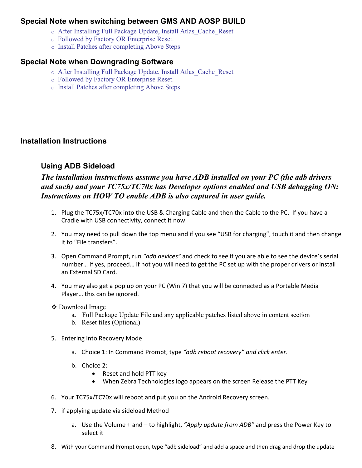#### Special Note when switching between GMS AND AOSP BUILD

- o After Installing Full Package Update, Install Atlas\_Cache\_Reset
- o Followed by Factory OR Enterprise Reset.
- o Install Patches after completing Above Steps

#### Special Note when Downgrading Software

- o After Installing Full Package Update, Install Atlas\_Cache\_Reset
- o Followed by Factory OR Enterprise Reset.
- o Install Patches after completing Above Steps

#### Installation Instructions

#### Using ADB Sideload

### The installation instructions assume you have ADB installed on your PC (the adb drivers and such) and your TC75x/TC70x has Developer options enabled and USB debugging ON: Instructions on HOW TO enable ADB is also captured in user guide.

- 1. Plug the TC75x/TC70x into the USB & Charging Cable and then the Cable to the PC. If you have a Cradle with USB connectivity, connect it now.
- 2. You may need to pull down the top menu and if you see "USB for charging", touch it and then change it to "File transfers".
- 3. Open Command Prompt, run *"adb devices"* and check to see if you are able to see the device's serial number… If yes, proceed… if not you will need to get the PC set up with the proper drivers or install an External SD Card.
- 4. You may also get a pop up on your PC (Win 7) that you will be connected as a Portable Media Player… this can be ignored.

#### Download Image

- a. Full Package Update File and any applicable patches listed above in content section
- b. Reset files (Optional)
- 5. Entering into Recovery Mode
	- a. Choice 1: In Command Prompt, type *"adb reboot recovery" and click enter*.
	- b. Choice 2:
		- Reset and hold PTT key
		- When Zebra Technologies logo appears on the screen Release the PTT Key
- 6. Your TC75x/TC70x will reboot and put you on the Android Recovery screen.
- 7. if applying update via sideload Method
	- a. Use the Volume + and to highlight, *"Apply update from ADB"* and press the Power Key to select it
- 8. With your Command Prompt open, type "adb sideload" and add a space and then drag and drop the update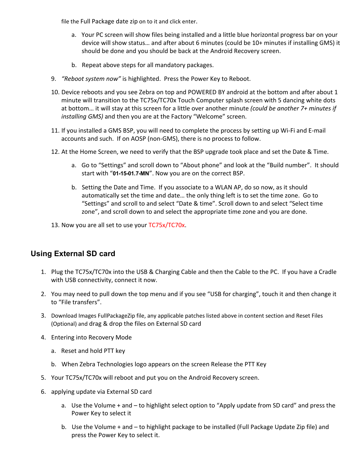file the Full Package date zip on to it and click enter.

- a. Your PC screen will show files being installed and a little blue horizontal progress bar on your device will show status… and after about 6 minutes (could be 10+ minutes if installing GMS) it should be done and you should be back at the Android Recovery screen.
- b. Repeat above steps for all mandatory packages.
- 9. *"Reboot system now"* is highlighted. Press the Power Key to Reboot.
- 10. Device reboots and you see Zebra on top and POWERED BY android at the bottom and after about 1 minute will transition to the TC75x/TC70x Touch Computer splash screen with 5 dancing white dots at bottom… it will stay at this screen for a little over another minute *(could be another 7+ minutes if installing GMS)* and then you are at the Factory "Welcome" screen.
- 11. If you installed a GMS BSP, you will need to complete the process by setting up Wi‐Fi and E‐mail accounts and such. If on AOSP (non‐GMS), there is no process to follow.
- 12. At the Home Screen, we need to verify that the BSP upgrade took place and set the Date & Time.
	- a. Go to "Settings" and scroll down to "About phone" and look at the "Build number". It should start with "01-15-01.7-MN". Now you are on the correct BSP.
	- b. Setting the Date and Time. If you associate to a WLAN AP, do so now, as it should automatically set the time and date… the only thing left is to set the time zone. Go to "Settings" and scroll to and select "Date & time". Scroll down to and select "Select time zone", and scroll down to and select the appropriate time zone and you are done.
- 13. Now you are all set to use your TC75x/TC70x.

## Using External SD card

- 1. Plug the TC75x/TC70x into the USB & Charging Cable and then the Cable to the PC. If you have a Cradle with USB connectivity, connect it now.
- 2. You may need to pull down the top menu and if you see "USB for charging", touch it and then change it to "File transfers".
- 3. Download Images FullPackageZip file, any applicable patches listed above in content section and Reset Files (Optional) and drag & drop the files on External SD card
- 4. Entering into Recovery Mode
	- a. Reset and hold PTT key
	- b. When Zebra Technologies logo appears on the screen Release the PTT Key
- 5. Your TC75x/TC70x will reboot and put you on the Android Recovery screen.
- 6. applying update via External SD card
	- a. Use the Volume + and to highlight select option to "Apply update from SD card" and press the Power Key to select it
	- b. Use the Volume + and to highlight package to be installed (Full Package Update Zip file) and press the Power Key to select it.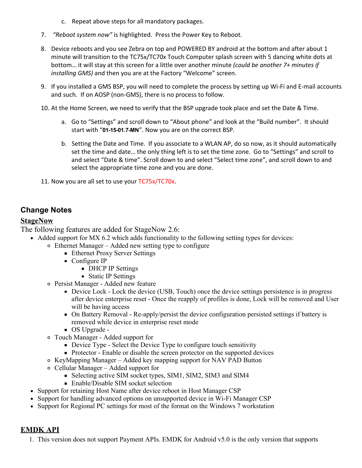- c. Repeat above steps for all mandatory packages.
- 7. *"Reboot system now"* is highlighted. Press the Power Key to Reboot.
- 8. Device reboots and you see Zebra on top and POWERED BY android at the bottom and after about 1 minute will transition to the TC75x/TC70x Touch Computer splash screen with 5 dancing white dots at bottom… it will stay at this screen for a little over another minute *(could be another 7+ minutes if installing GMS)* and then you are at the Factory "Welcome" screen.
- 9. If you installed a GMS BSP, you will need to complete the process by setting up Wi-Fi and E-mail accounts and such. If on AOSP (non‐GMS), there is no process to follow.
- 10. At the Home Screen, we need to verify that the BSP upgrade took place and set the Date & Time.
	- a. Go to "Settings" and scroll down to "About phone" and look at the "Build number". It should start with "01-15-01.7-MN". Now you are on the correct BSP.
	- b. Setting the Date and Time. If you associate to a WLAN AP, do so now, as it should automatically set the time and date… the only thing left is to set the time zone. Go to "Settings" and scroll to and select "Date & time". Scroll down to and select "Select time zone", and scroll down to and select the appropriate time zone and you are done.
- 11. Now you are all set to use your TC75x/TC70x.

# Change Notes

## **StageNow**

The following features are added for StageNow 2.6:

- Added support for MX 6.2 which adds functionality to the following setting types for devices:
	- Ethernet Manager Added new setting type to configure
		- Ethernet Proxy Server Settings
		- Configure IP
			- **DHCP IP Settings**
			- **Static IP Settings**
	- o Persist Manager Added new feature
		- Device Lock Lock the device (USB, Touch) once the device settings persistence is in progress after device enterprise reset - Once the reapply of profiles is done, Lock will be removed and User will be having access
		- On Battery Removal Re-apply/persist the device configuration persisted settings if battery is removed while device in enterprise reset mode
		- OS Upgrade -
	- Touch Manager Added support for
		- Device Type Select the Device Type to configure touch sensitivity
		- Protector Enable or disable the screen protector on the supported devices
	- KeyMapping Manager Added key mapping support for NAV PAD Button
	- Cellular Manager Added support for
		- Selecting active SIM socket types, SIM1, SIM2, SIM3 and SIM4
		- Enable/Disable SIM socket selection
	- Support for retaining Host Name after device reboot in Host Manager CSP
	- Support for handling advanced options on unsupported device in Wi-Fi Manager CSP
	- Support for Regional PC settings for most of the format on the Windows 7 workstation

## EMDK API

1. This version does not support Payment APIs. EMDK for Android v5.0 is the only version that supports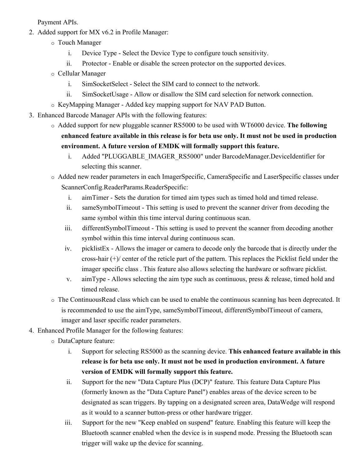Payment APIs.

- 2. Added support for MX v6.2 in Profile Manager:
	- o Touch Manager
		- i. Device Type Select the Device Type to configure touch sensitivity.
		- ii. Protector Enable or disable the screen protector on the supported devices.
	- o Cellular Manager
		- i. SimSocketSelect Select the SIM card to connect to the network.
		- ii. SimSocketUsage Allow or disallow the SIM card selection for network connection.
	- o KeyMapping Manager Added key mapping support for NAV PAD Button.
- 3. Enhanced Barcode Manager APIs with the following features:
	- o Added support for new pluggable scanner RS5000 to be used with WT6000 device. The following enhanced feature available in this release is for beta use only. It must not be used in production environment. A future version of EMDK will formally support this feature.
		- i. Added "PLUGGABLE\_IMAGER\_RS5000" under BarcodeManager.DeviceIdentifier for selecting this scanner.

o Added new reader parameters in each ImagerSpecific, CameraSpecific and LaserSpecific classes under ScannerConfig.ReaderParams.ReaderSpecific:

- i. aimTimer Sets the duration for timed aim types such as timed hold and timed release.
- ii. sameSymbolTimeout This setting is used to prevent the scanner driver from decoding the same symbol within this time interval during continuous scan.
- iii. differentSymbolTimeout This setting is used to prevent the scanner from decoding another symbol within this time interval during continuous scan.
- iv. picklistEx Allows the imager or camera to decode only the barcode that is directly under the cross-hair  $(+)$  center of the reticle part of the pattern. This replaces the Picklist field under the imager specific class . This feature also allows selecting the hardware or software picklist.
- v. aimType Allows selecting the aim type such as continuous, press  $\&$  release, timed hold and timed release.
- o The ContinuousRead class which can be used to enable the continuous scanning has been deprecated. It is recommended to use the aimType, sameSymbolTimeout, differentSymbolTimeout of camera, imager and laser specific reader parameters.
- 4. Enhanced Profile Manager for the following features:
	- o DataCapture feature:
		- i. Support for selecting RS5000 as the scanning device. This enhanced feature available in this release is for beta use only. It must not be used in production environment. A future version of EMDK will formally support this feature.
		- ii. Support for the new "Data Capture Plus (DCP)" feature. This feature Data Capture Plus (formerly known as the "Data Capture Panel") enables areas of the device screen to be designated as scan triggers. By tapping on a designated screen area, DataWedge will respond as it would to a scanner button-press or other hardware trigger.
		- iii. Support for the new "Keep enabled on suspend" feature. Enabling this feature will keep the Bluetooth scanner enabled when the device is in suspend mode. Pressing the Bluetooth scan trigger will wake up the device for scanning.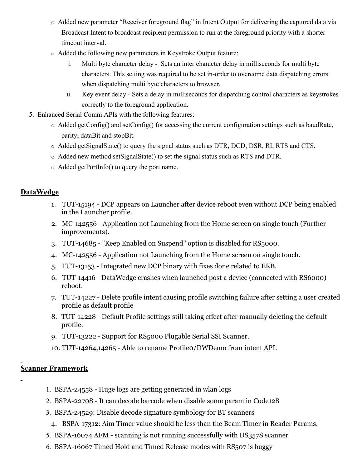- o Added new parameter "Receiver foreground flag" in Intent Output for delivering the captured data via Broadcast Intent to broadcast recipient permission to run at the foreground priority with a shorter timeout interval.
- o Added the following new parameters in Keystroke Output feature:
	- i. Multi byte character delay Sets an inter character delay in milliseconds for multi byte characters. This setting was required to be set in-order to overcome data dispatching errors when dispatching multi byte characters to browser.
	- ii. Key event delay Sets a delay in milliseconds for dispatching control characters as keystrokes correctly to the foreground application.
- 5. Enhanced Serial Comm APIs with the following features:
	- $\circ$  Added getConfig() and setConfig() for accessing the current configuration settings such as baudRate, parity, dataBit and stopBit.
	- o Added getSignalState() to query the signal status such as DTR, DCD, DSR, RI, RTS and CTS.
	- o Added new method setSignalState() to set the signal status such as RTS and DTR.
	- o Added getPortInfo() to query the port name.

#### DataWedge

- 1. TUT-15194 DCP appears on Launcher after device reboot even without DCP being enabled in the Launcher profile.
- 2. MC-142556 Application not Launching from the Home screen on single touch (Further improvements).
- 3. TUT-14685 "Keep Enabled on Suspend" option is disabled for RS5000.
- 4. MC142556 Application not Launching from the Home screen on single touch.
- 5. TUT-13153 Integrated new DCP binary with fixes done related to EKB.
- 6. TUT-14416 DataWedge crashes when launched post a device (connected with RS6000) reboot.
- 7. TUT-14227 Delete profile intent causing profile switching failure after setting a user created profile as default profile
- 8. TUT-14228 Default Profile settings still taking effect after manually deleting the default profile.
- 9. TUT-13222 Support for RS5000 Plugable Serial SSI Scanner.
- 10. TUT-14264,14265 Able to rename Profileo/DWDemo from intent API.

## Scanner Framework

- 1. BSPA-24558 Huge logs are getting generated in wlan logs
- 2. BSPA-22708 It can decode barcode when disable some param in Code128
- 3. BSPA24529: Disable decode signature symbology for BT scanners
	- 4. BSPA-17312: Aim Timer value should be less than the Beam Timer in Reader Params.
- 5. BSPA-16074 AFM scanning is not running successfully with DS3578 scanner
- 6. BSPA-16067 Timed Hold and Timed Release modes with RS507 is buggy